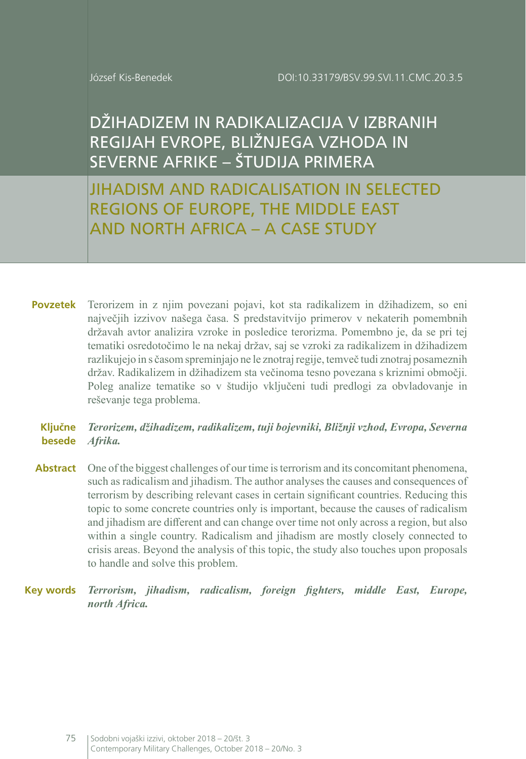DŽIHADIZEM IN RADIKALIZACIJA V IZBRANIH REGIJAH EVROPE, BLIŽNJEGA VZHODA IN SEVERNE AFRIKE – ŠTUDIJA PRIMERA

JIHADISM AND RADICALISATION IN SELECTED REGIONS OF EUROPE, THE MIDDLE EAST AND NORTH AFRICA – A CASE STUDY

Terorizem in z njim povezani pojavi, kot sta radikalizem in džihadizem, so eni največjih izzivov našega časa. S predstavitvijo primerov v nekaterih pomembnih državah avtor analizira vzroke in posledice terorizma. Pomembno je, da se pri tej tematiki osredotočimo le na nekaj držav, saj se vzroki za radikalizem in džihadizem razlikujejo in s časom spreminjajo ne le znotraj regije, temveč tudi znotraj posameznih držav. Radikalizem in džihadizem sta večinoma tesno povezana s kriznimi območji. Poleg analize tematike so v študijo vključeni tudi predlogi za obvladovanje in reševanje tega problema. **Povzetek**

#### *Terorizem, džihadizem, radikalizem, tuji bojevniki, Bližnji vzhod, Evropa, Severna Afrika.* **Ključne besede**

Abstract One of the biggest challenges of our time is terrorism and its concomitant phenomena, such as radicalism and jihadism. The author analyses the causes and consequences of terrorism by describing relevant cases in certain significant countries. Reducing this topic to some concrete countries only is important, because the causes of radicalism and jihadism are different and can change over time not only across a region, but also within a single country. Radicalism and jihadism are mostly closely connected to crisis areas. Beyond the analysis of this topic, the study also touches upon proposals to handle and solve this problem.

*Terrorism, jihadism, radicalism, foreign fighters, middle East, Europe, north Africa.* **Key words**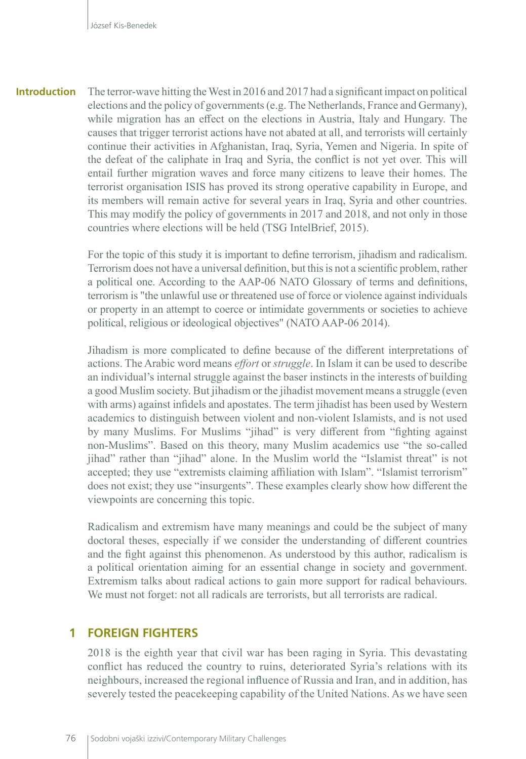The terror-wave hitting the West in 2016 and 2017 had a significant impact on political elections and the policy of governments (e.g. The Netherlands, France and Germany), while migration has an effect on the elections in Austria, Italy and Hungary. The causes that trigger terrorist actions have not abated at all, and terrorists will certainly continue their activities in Afghanistan, Iraq, Syria, Yemen and Nigeria. In spite of the defeat of the caliphate in Iraq and Syria, the conflict is not yet over. This will entail further migration waves and force many citizens to leave their homes. The terrorist organisation ISIS has proved its strong operative capability in Europe, and its members will remain active for several years in Iraq, Syria and other countries. This may modify the policy of governments in 2017 and 2018, and not only in those countries where elections will be held (TSG IntelBrief, 2015). **Introduction**

> For the topic of this study it is important to define terrorism, jihadism and radicalism. Terrorism does not have a universal definition, but this is not a scientific problem, rather a political one. According to the AAP-06 NATO Glossary of terms and definitions, terrorism is "the unlawful use or threatened use of force or violence against individuals or property in an attempt to coerce or intimidate governments or societies to achieve political, religious or ideological objectives" (NATO AAP-06 2014).

> Jihadism is more complicated to define because of the different interpretations of actions. The Arabic word means *effort* or *struggle*. In Islam it can be used to describe an individual's internal struggle against the baser instincts in the interests of building a good Muslim society. But jihadism or the jihadist movement means a struggle (even with arms) against infidels and apostates. The term jihadist has been used by Western academics to distinguish between violent and non-violent Islamists, and is not used by many Muslims. For Muslims "jihad" is very different from "fighting against non-Muslims". Based on this theory, many Muslim academics use "the so-called jihad" rather than "jihad" alone. In the Muslim world the "Islamist threat" is not accepted; they use "extremists claiming affiliation with Islam". "Islamist terrorism" does not exist; they use "insurgents". These examples clearly show how different the viewpoints are concerning this topic.

> Radicalism and extremism have many meanings and could be the subject of many doctoral theses, especially if we consider the understanding of different countries and the fight against this phenomenon. As understood by this author, radicalism is a political orientation aiming for an essential change in society and government. Extremism talks about radical actions to gain more support for radical behaviours. We must not forget: not all radicals are terrorists, but all terrorists are radical.

#### **1 FOREIGN FIGHTERS**

2018 is the eighth year that civil war has been raging in Syria. This devastating conflict has reduced the country to ruins, deteriorated Syria's relations with its neighbours, increased the regional influence of Russia and Iran, and in addition, has severely tested the peacekeeping capability of the United Nations. As we have seen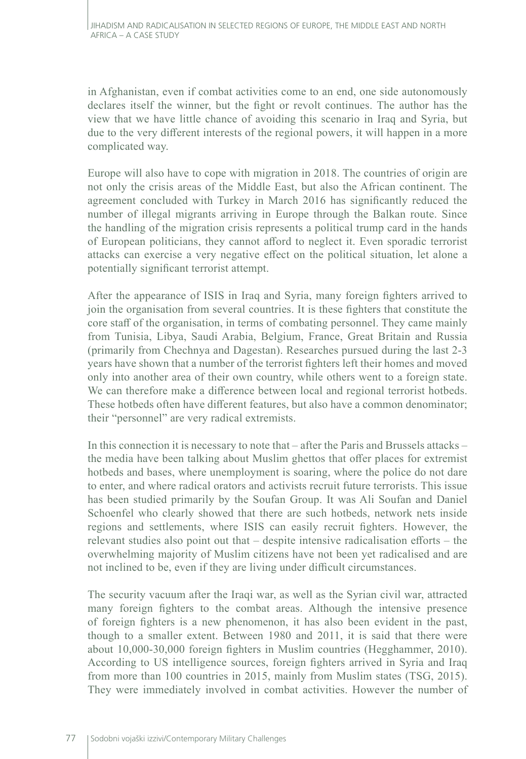in Afghanistan, even if combat activities come to an end, one side autonomously declares itself the winner, but the fight or revolt continues. The author has the view that we have little chance of avoiding this scenario in Iraq and Syria, but due to the very different interests of the regional powers, it will happen in a more complicated way.

Europe will also have to cope with migration in 2018. The countries of origin are not only the crisis areas of the Middle East, but also the African continent. The agreement concluded with Turkey in March 2016 has significantly reduced the number of illegal migrants arriving in Europe through the Balkan route. Since the handling of the migration crisis represents a political trump card in the hands of European politicians, they cannot afford to neglect it. Even sporadic terrorist attacks can exercise a very negative effect on the political situation, let alone a potentially significant terrorist attempt.

After the appearance of ISIS in Iraq and Syria, many foreign fighters arrived to join the organisation from several countries. It is these fighters that constitute the core staff of the organisation, in terms of combating personnel. They came mainly from Tunisia, Libya, Saudi Arabia, Belgium, France, Great Britain and Russia (primarily from Chechnya and Dagestan). Researches pursued during the last 2-3 years have shown that a number of the terrorist fighters left their homes and moved only into another area of their own country, while others went to a foreign state. We can therefore make a difference between local and regional terrorist hotbeds. These hotbeds often have different features, but also have a common denominator; their "personnel" are very radical extremists.

In this connection it is necessary to note that – after the Paris and Brussels attacks – the media have been talking about Muslim ghettos that offer places for extremist hotbeds and bases, where unemployment is soaring, where the police do not dare to enter, and where radical orators and activists recruit future terrorists. This issue has been studied primarily by the Soufan Group. It was Ali Soufan and Daniel Schoenfel who clearly showed that there are such hotbeds, network nets inside regions and settlements, where ISIS can easily recruit fighters. However, the relevant studies also point out that – despite intensive radicalisation efforts – the overwhelming majority of Muslim citizens have not been yet radicalised and are not inclined to be, even if they are living under difficult circumstances.

The security vacuum after the Iraqi war, as well as the Syrian civil war, attracted many foreign fighters to the combat areas. Although the intensive presence of foreign fighters is a new phenomenon, it has also been evident in the past, though to a smaller extent. Between 1980 and 2011, it is said that there were about 10,000-30,000 foreign fighters in Muslim countries (Hegghammer, 2010). According to US intelligence sources, foreign fighters arrived in Syria and Iraq from more than 100 countries in 2015, mainly from Muslim states (TSG, 2015). They were immediately involved in combat activities. However the number of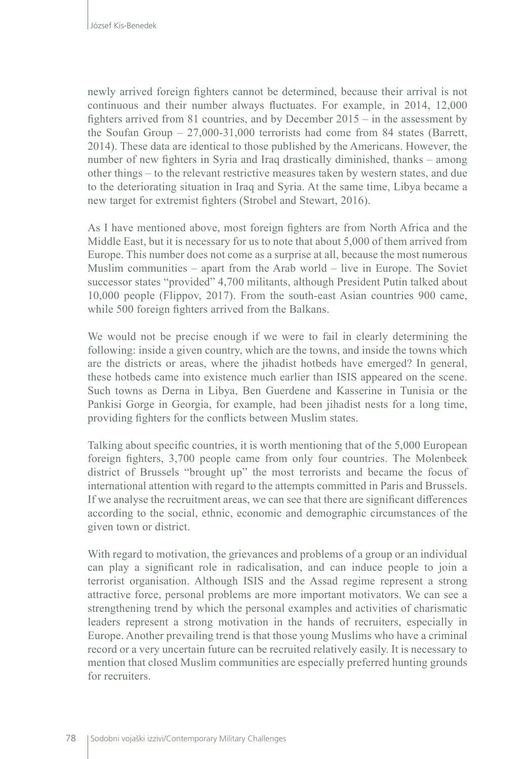newly arrived foreign fighters cannot be determined, because their arrival is not continuous and their number always fluctuates. For example, in 2014, 12,000 fighters arrived from 81 countries, and by December 2015 – in the assessment by the Soufan Group –  $27,000-31,000$  terrorists had come from 84 states (Barrett, 2014). These data are identical to those published by the Americans. However, the number of new fighters in Syria and Iraq drastically diminished, thanks – among other things – to the relevant restrictive measures taken by western states, and due to the deteriorating situation in Iraq and Syria. At the same time, Libya became a new target for extremist fighters (Strobel and Stewart, 2016).

As I have mentioned above, most foreign fighters are from North Africa and the Middle East, but it is necessary for us to note that about 5,000 of them arrived from Europe. This number does not come as a surprise at all, because the most numerous Muslim communities – apart from the Arab world – live in Europe. The Soviet successor states "provided" 4,700 militants, although President Putin talked about 10,000 people (Flippov, 2017). From the south-east Asian countries 900 came, while 500 foreign fighters arrived from the Balkans.

We would not be precise enough if we were to fail in clearly determining the following: inside a given country, which are the towns, and inside the towns which are the districts or areas, where the jihadist hotbeds have emerged? In general, these hotbeds came into existence much earlier than ISIS appeared on the scene. Such towns as Derna in Libya, Ben Guerdene and Kasserine in Tunisia or the Pankisi Gorge in Georgia, for example, had been jihadist nests for a long time, providing fighters for the conflicts between Muslim states.

Talking about specific countries, it is worth mentioning that of the 5,000 European foreign fighters, 3,700 people came from only four countries. The Molenbeek district of Brussels "brought up" the most terrorists and became the focus of international attention with regard to the attempts committed in Paris and Brussels. If we analyse the recruitment areas, we can see that there are significant differences according to the social, ethnic, economic and demographic circumstances of the given town or district.

With regard to motivation, the grievances and problems of a group or an individual can play a significant role in radicalisation, and can induce people to join a terrorist organisation. Although ISIS and the Assad regime represent a strong attractive force, personal problems are more important motivators. We can see a strengthening trend by which the personal examples and activities of charismatic leaders represent a strong motivation in the hands of recruiters, especially in Europe. Another prevailing trend is that those young Muslims who have a criminal record or a very uncertain future can be recruited relatively easily. It is necessary to mention that closed Muslim communities are especially preferred hunting grounds for recruiters.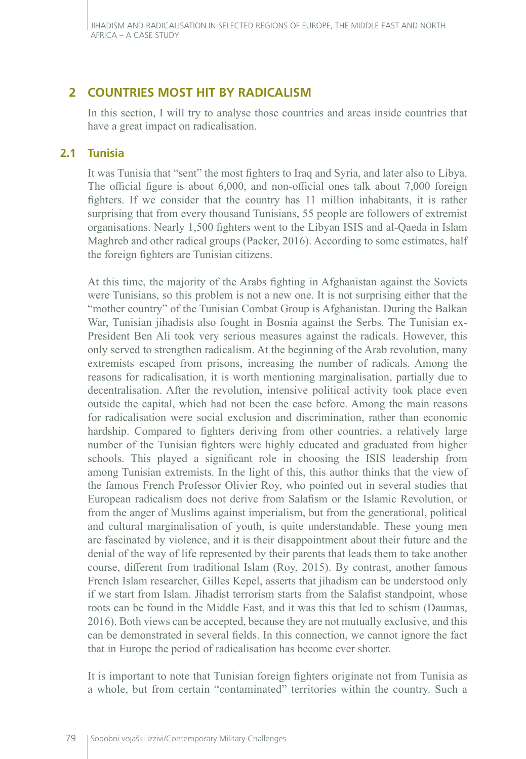# **2 COUNTRIES MOST HIT BY RADICALISM**

In this section, I will try to analyse those countries and areas inside countries that have a great impact on radicalisation.

### **2.1 Tunisia**

It was Tunisia that "sent" the most fighters to Iraq and Syria, and later also to Libya. The official figure is about 6,000, and non-official ones talk about 7,000 foreign fighters. If we consider that the country has 11 million inhabitants, it is rather surprising that from every thousand Tunisians, 55 people are followers of extremist organisations. Nearly 1,500 fighters went to the Libyan ISIS and al-Qaeda in Islam Maghreb and other radical groups (Packer, 2016). According to some estimates, half the foreign fighters are Tunisian citizens.

At this time, the majority of the Arabs fighting in Afghanistan against the Soviets were Tunisians, so this problem is not a new one. It is not surprising either that the "mother country" of the Tunisian Combat Group is Afghanistan. During the Balkan War, Tunisian jihadists also fought in Bosnia against the Serbs. The Tunisian ex-President Ben Ali took very serious measures against the radicals. However, this only served to strengthen radicalism. At the beginning of the Arab revolution, many extremists escaped from prisons, increasing the number of radicals. Among the reasons for radicalisation, it is worth mentioning marginalisation, partially due to decentralisation. After the revolution, intensive political activity took place even outside the capital, which had not been the case before. Among the main reasons for radicalisation were social exclusion and discrimination, rather than economic hardship. Compared to fighters deriving from other countries, a relatively large number of the Tunisian fighters were highly educated and graduated from higher schools. This played a significant role in choosing the ISIS leadership from among Tunisian extremists. In the light of this, this author thinks that the view of the famous French Professor Olivier Roy, who pointed out in several studies that European radicalism does not derive from Salafism or the Islamic Revolution, or from the anger of Muslims against imperialism, but from the generational, political and cultural marginalisation of youth, is quite understandable. These young men are fascinated by violence, and it is their disappointment about their future and the denial of the way of life represented by their parents that leads them to take another course, different from traditional Islam (Roy, 2015). By contrast, another famous French Islam researcher, Gilles Kepel, asserts that jihadism can be understood only if we start from Islam. Jihadist terrorism starts from the Salafist standpoint, whose roots can be found in the Middle East, and it was this that led to schism (Daumas, 2016). Both views can be accepted, because they are not mutually exclusive, and this can be demonstrated in several fields. In this connection, we cannot ignore the fact that in Europe the period of radicalisation has become ever shorter.

It is important to note that Tunisian foreign fighters originate not from Tunisia as a whole, but from certain "contaminated" territories within the country. Such a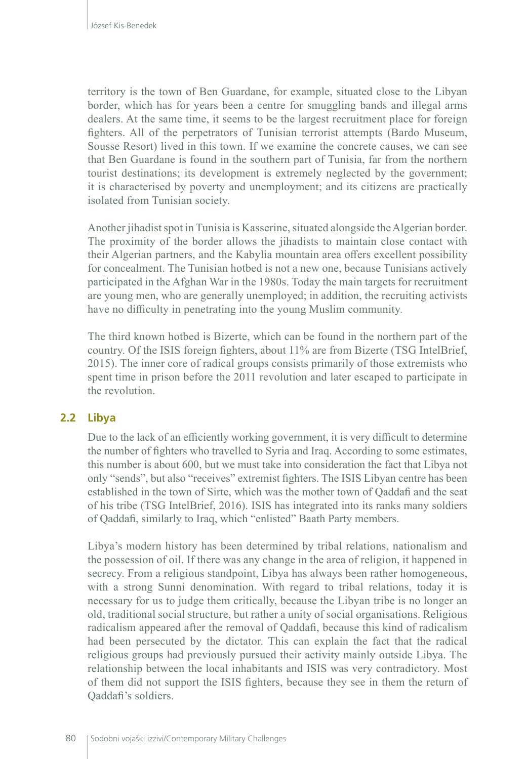territory is the town of Ben Guardane, for example, situated close to the Libyan border, which has for years been a centre for smuggling bands and illegal arms dealers. At the same time, it seems to be the largest recruitment place for foreign fighters. All of the perpetrators of Tunisian terrorist attempts (Bardo Museum, Sousse Resort) lived in this town. If we examine the concrete causes, we can see that Ben Guardane is found in the southern part of Tunisia, far from the northern tourist destinations; its development is extremely neglected by the government; it is characterised by poverty and unemployment; and its citizens are practically isolated from Tunisian society.

Another jihadist spot in Tunisia is Kasserine, situated alongside the Algerian border. The proximity of the border allows the jihadists to maintain close contact with their Algerian partners, and the Kabylia mountain area offers excellent possibility for concealment. The Tunisian hotbed is not a new one, because Tunisians actively participated in the Afghan War in the 1980s. Today the main targets for recruitment are young men, who are generally unemployed; in addition, the recruiting activists have no difficulty in penetrating into the young Muslim community.

The third known hotbed is Bizerte, which can be found in the northern part of the country. Of the ISIS foreign fighters, about 11% are from Bizerte (TSG IntelBrief, 2015). The inner core of radical groups consists primarily of those extremists who spent time in prison before the 2011 revolution and later escaped to participate in the revolution.

#### **2.2 Libya**

Due to the lack of an efficiently working government, it is very difficult to determine the number of fighters who travelled to Syria and Iraq. According to some estimates, this number is about 600, but we must take into consideration the fact that Libya not only "sends", but also "receives" extremist fighters. The ISIS Libyan centre has been established in the town of Sirte, which was the mother town of Qaddafi and the seat of his tribe (TSG IntelBrief, 2016). ISIS has integrated into its ranks many soldiers of Qaddafi, similarly to Iraq, which "enlisted" Baath Party members.

Libya's modern history has been determined by tribal relations, nationalism and the possession of oil. If there was any change in the area of religion, it happened in secrecy. From a religious standpoint, Libya has always been rather homogeneous, with a strong Sunni denomination. With regard to tribal relations, today it is necessary for us to judge them critically, because the Libyan tribe is no longer an old, traditional social structure, but rather a unity of social organisations. Religious radicalism appeared after the removal of Qaddafi, because this kind of radicalism had been persecuted by the dictator. This can explain the fact that the radical religious groups had previously pursued their activity mainly outside Libya. The relationship between the local inhabitants and ISIS was very contradictory. Most of them did not support the ISIS fighters, because they see in them the return of Qaddafi's soldiers.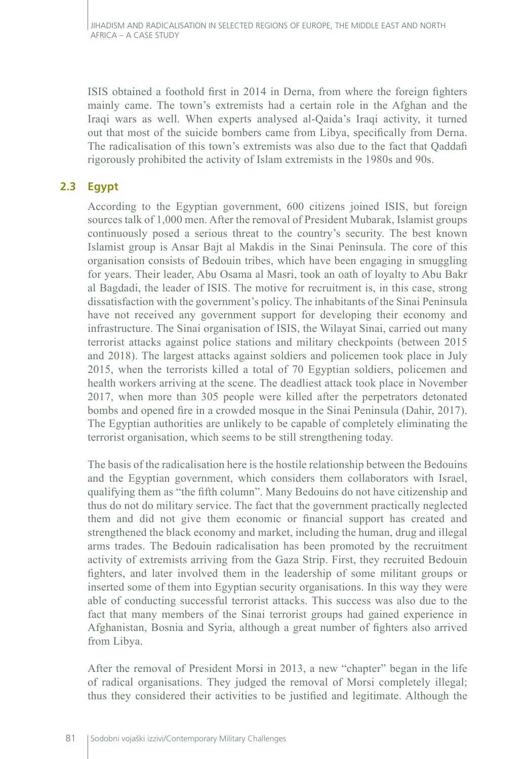ISIS obtained a foothold first in 2014 in Derna, from where the foreign fighters mainly came. The town's extremists had a certain role in the Afghan and the Iraqi wars as well. When experts analysed al-Qaida's Iraqi activity, it turned out that most of the suicide bombers came from Libya, specifically from Derna. The radicalisation of this town's extremists was also due to the fact that Qaddafi rigorously prohibited the activity of Islam extremists in the 1980s and 90s.

## **2.3 Egypt**

According to the Egyptian government, 600 citizens joined ISIS, but foreign sources talk of 1,000 men. After the removal of President Mubarak, Islamist groups continuously posed a serious threat to the country's security. The best known Islamist group is Ansar Bajt al Makdis in the Sinai Peninsula. The core of this organisation consists of Bedouin tribes, which have been engaging in smuggling for years. Their leader, Abu Osama al Masri, took an oath of loyalty to Abu Bakr al Bagdadi, the leader of ISIS. The motive for recruitment is, in this case, strong dissatisfaction with the government's policy. The inhabitants of the Sinai Peninsula have not received any government support for developing their economy and infrastructure. The Sinai organisation of ISIS, the Wilayat Sinai, carried out many terrorist attacks against police stations and military checkpoints (between 2015 and 2018). The largest attacks against soldiers and policemen took place in July 2015, when the terrorists killed a total of 70 Egyptian soldiers, policemen and health workers arriving at the scene. The deadliest attack took place in November 2017, when more than 305 people were killed after the perpetrators detonated bombs and opened fire in a crowded mosque in the Sinai Peninsula (Dahir, 2017). The Egyptian authorities are unlikely to be capable of completely eliminating the terrorist organisation, which seems to be still strengthening today.

The basis of the radicalisation here is the hostile relationship between the Bedouins and the Egyptian government, which considers them collaborators with Israel, qualifying them as "the fifth column". Many Bedouins do not have citizenship and thus do not do military service. The fact that the government practically neglected them and did not give them economic or financial support has created and strengthened the black economy and market, including the human, drug and illegal arms trades. The Bedouin radicalisation has been promoted by the recruitment activity of extremists arriving from the Gaza Strip. First, they recruited Bedouin fighters, and later involved them in the leadership of some militant groups or inserted some of them into Egyptian security organisations. In this way they were able of conducting successful terrorist attacks. This success was also due to the fact that many members of the Sinai terrorist groups had gained experience in Afghanistan, Bosnia and Syria, although a great number of fighters also arrived from Libya.

After the removal of President Morsi in 2013, a new "chapter" began in the life of radical organisations. They judged the removal of Morsi completely illegal; thus they considered their activities to be justified and legitimate. Although the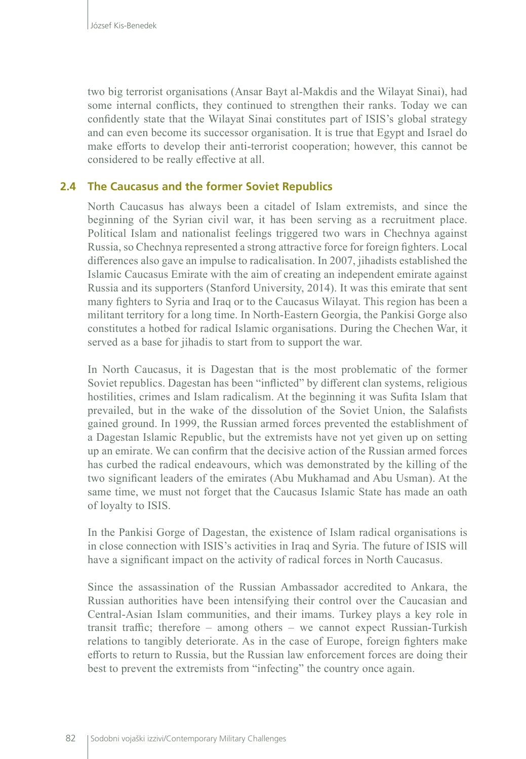two big terrorist organisations (Ansar Bayt al-Makdis and the Wilayat Sinai), had some internal conflicts, they continued to strengthen their ranks. Today we can confidently state that the Wilayat Sinai constitutes part of ISIS's global strategy and can even become its successor organisation. It is true that Egypt and Israel do make efforts to develop their anti-terrorist cooperation; however, this cannot be considered to be really effective at all.

#### **2.4 The Caucasus and the former Soviet Republics**

North Caucasus has always been a citadel of Islam extremists, and since the beginning of the Syrian civil war, it has been serving as a recruitment place. Political Islam and nationalist feelings triggered two wars in Chechnya against Russia, so Chechnya represented a strong attractive force for foreign fighters. Local differences also gave an impulse to radicalisation. In 2007, jihadists established the Islamic Caucasus Emirate with the aim of creating an independent emirate against Russia and its supporters (Stanford University, 2014). It was this emirate that sent many fighters to Syria and Iraq or to the Caucasus Wilayat. This region has been a militant territory for a long time. In North-Eastern Georgia, the Pankisi Gorge also constitutes a hotbed for radical Islamic organisations. During the Chechen War, it served as a base for jihadis to start from to support the war.

In North Caucasus, it is Dagestan that is the most problematic of the former Soviet republics. Dagestan has been "inflicted" by different clan systems, religious hostilities, crimes and Islam radicalism. At the beginning it was Sufita Islam that prevailed, but in the wake of the dissolution of the Soviet Union, the Salafists gained ground. In 1999, the Russian armed forces prevented the establishment of a Dagestan Islamic Republic, but the extremists have not yet given up on setting up an emirate. We can confirm that the decisive action of the Russian armed forces has curbed the radical endeavours, which was demonstrated by the killing of the two significant leaders of the emirates (Abu Mukhamad and Abu Usman). At the same time, we must not forget that the Caucasus Islamic State has made an oath of loyalty to ISIS.

In the Pankisi Gorge of Dagestan, the existence of Islam radical organisations is in close connection with ISIS's activities in Iraq and Syria. The future of ISIS will have a significant impact on the activity of radical forces in North Caucasus.

Since the assassination of the Russian Ambassador accredited to Ankara, the Russian authorities have been intensifying their control over the Caucasian and Central-Asian Islam communities, and their imams. Turkey plays a key role in transit traffic; therefore – among others – we cannot expect Russian-Turkish relations to tangibly deteriorate. As in the case of Europe, foreign fighters make efforts to return to Russia, but the Russian law enforcement forces are doing their best to prevent the extremists from "infecting" the country once again.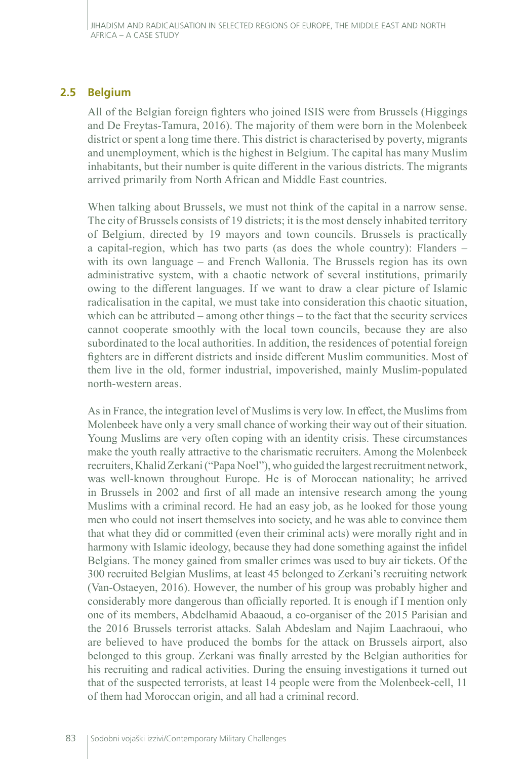## **2.5 Belgium**

All of the Belgian foreign fighters who joined ISIS were from Brussels (Higgings and De Freytas-Tamura, 2016). The majority of them were born in the Molenbeek district or spent a long time there. This district is characterised by poverty, migrants and unemployment, which is the highest in Belgium. The capital has many Muslim inhabitants, but their number is quite different in the various districts. The migrants arrived primarily from North African and Middle East countries.

When talking about Brussels, we must not think of the capital in a narrow sense. The city of Brussels consists of 19 districts; it is the most densely inhabited territory of Belgium, directed by 19 mayors and town councils. Brussels is practically a capital-region, which has two parts (as does the whole country): Flanders – with its own language – and French Wallonia. The Brussels region has its own administrative system, with a chaotic network of several institutions, primarily owing to the different languages. If we want to draw a clear picture of Islamic radicalisation in the capital, we must take into consideration this chaotic situation, which can be attributed – among other things – to the fact that the security services cannot cooperate smoothly with the local town councils, because they are also subordinated to the local authorities. In addition, the residences of potential foreign fighters are in different districts and inside different Muslim communities. Most of them live in the old, former industrial, impoverished, mainly Muslim-populated north-western areas.

As in France, the integration level of Muslims is very low. In effect, the Muslims from Molenbeek have only a very small chance of working their way out of their situation. Young Muslims are very often coping with an identity crisis. These circumstances make the youth really attractive to the charismatic recruiters. Among the Molenbeek recruiters, Khalid Zerkani ("Papa Noel"), who guided the largest recruitment network, was well-known throughout Europe. He is of Moroccan nationality; he arrived in Brussels in 2002 and first of all made an intensive research among the young Muslims with a criminal record. He had an easy job, as he looked for those young men who could not insert themselves into society, and he was able to convince them that what they did or committed (even their criminal acts) were morally right and in harmony with Islamic ideology, because they had done something against the infidel Belgians. The money gained from smaller crimes was used to buy air tickets. Of the 300 recruited Belgian Muslims, at least 45 belonged to Zerkani's recruiting network (Van-Ostaeyen, 2016). However, the number of his group was probably higher and considerably more dangerous than officially reported. It is enough if I mention only one of its members, Abdelhamid Abaaoud, a co-organiser of the 2015 Parisian and the 2016 Brussels terrorist attacks. Salah Abdeslam and Najim Laachraoui, who are believed to have produced the bombs for the attack on Brussels airport, also belonged to this group. Zerkani was finally arrested by the Belgian authorities for his recruiting and radical activities. During the ensuing investigations it turned out that of the suspected terrorists, at least 14 people were from the Molenbeek-cell, 11 of them had Moroccan origin, and all had a criminal record.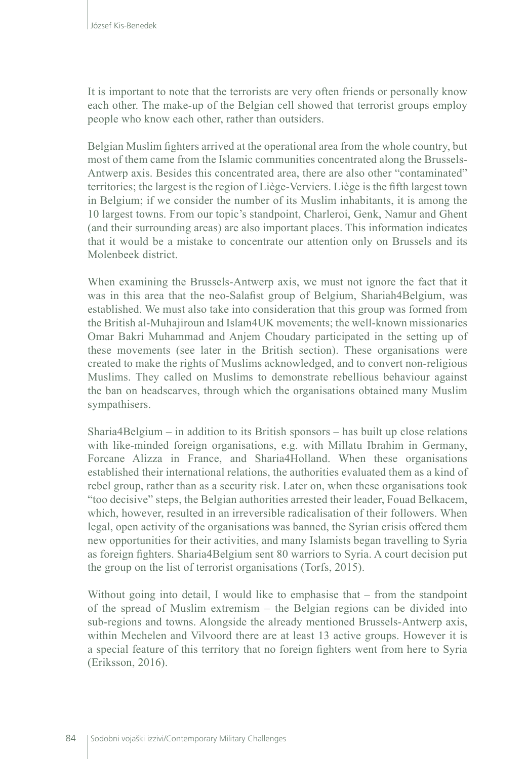It is important to note that the terrorists are very often friends or personally know each other. The make-up of the Belgian cell showed that terrorist groups employ people who know each other, rather than outsiders.

Belgian Muslim fighters arrived at the operational area from the whole country, but most of them came from the Islamic communities concentrated along the Brussels-Antwerp axis. Besides this concentrated area, there are also other "contaminated" territories; the largest is the region of Liège-Verviers. Liège is the fifth largest town in Belgium; if we consider the number of its Muslim inhabitants, it is among the 10 largest towns. From our topic's standpoint, Charleroi, Genk, Namur and Ghent (and their surrounding areas) are also important places. This information indicates that it would be a mistake to concentrate our attention only on Brussels and its Molenbeek district.

When examining the Brussels-Antwerp axis, we must not ignore the fact that it was in this area that the neo-Salafist group of Belgium, Shariah4Belgium, was established. We must also take into consideration that this group was formed from the British al-Muhajiroun and Islam4UK movements; the well-known missionaries Omar Bakri Muhammad and Anjem Choudary participated in the setting up of these movements (see later in the British section). These organisations were created to make the rights of Muslims acknowledged, and to convert non-religious Muslims. They called on Muslims to demonstrate rebellious behaviour against the ban on headscarves, through which the organisations obtained many Muslim sympathisers.

Sharia4Belgium – in addition to its British sponsors – has built up close relations with like-minded foreign organisations, e.g. with Millatu Ibrahim in Germany, Forcane Alizza in France, and Sharia4Holland. When these organisations established their international relations, the authorities evaluated them as a kind of rebel group, rather than as a security risk. Later on, when these organisations took "too decisive" steps, the Belgian authorities arrested their leader, Fouad Belkacem, which, however, resulted in an irreversible radicalisation of their followers. When legal, open activity of the organisations was banned, the Syrian crisis offered them new opportunities for their activities, and many Islamists began travelling to Syria as foreign fighters. Sharia4Belgium sent 80 warriors to Syria. A court decision put the group on the list of terrorist organisations (Torfs, 2015).

Without going into detail, I would like to emphasise that – from the standpoint of the spread of Muslim extremism – the Belgian regions can be divided into sub-regions and towns. Alongside the already mentioned Brussels-Antwerp axis, within Mechelen and Vilvoord there are at least 13 active groups. However it is a special feature of this territory that no foreign fighters went from here to Syria (Eriksson, 2016).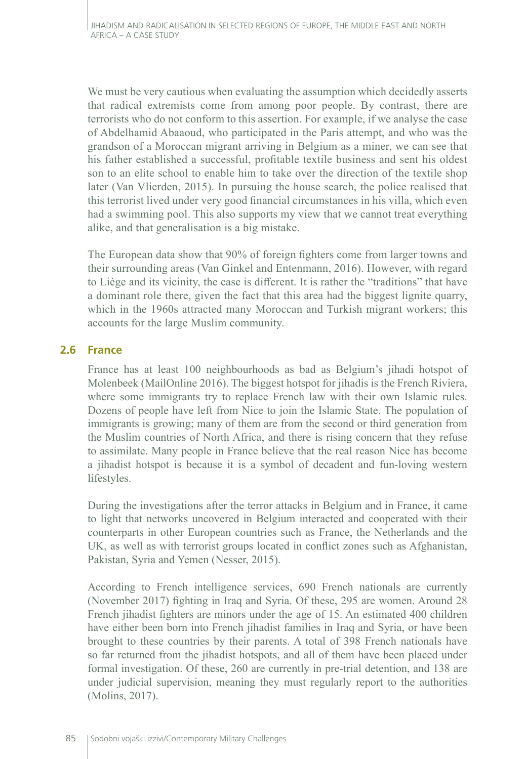We must be very cautious when evaluating the assumption which decidedly asserts that radical extremists come from among poor people. By contrast, there are terrorists who do not conform to this assertion. For example, if we analyse the case of Abdelhamid Abaaoud, who participated in the Paris attempt, and who was the grandson of a Moroccan migrant arriving in Belgium as a miner, we can see that his father established a successful, profitable textile business and sent his oldest son to an elite school to enable him to take over the direction of the textile shop later (Van Vlierden, 2015). In pursuing the house search, the police realised that this terrorist lived under very good financial circumstances in his villa, which even had a swimming pool. This also supports my view that we cannot treat everything alike, and that generalisation is a big mistake.

The European data show that 90% of foreign fighters come from larger towns and their surrounding areas (Van Ginkel and Entenmann, 2016). However, with regard to Liège and its vicinity, the case is different. It is rather the "traditions" that have a dominant role there, given the fact that this area had the biggest lignite quarry, which in the 1960s attracted many Moroccan and Turkish migrant workers; this accounts for the large Muslim community.

## **2.6 France**

France has at least 100 neighbourhoods as bad as Belgium's jihadi hotspot of Molenbeek (MailOnline 2016). The biggest hotspot for jihadis is the French Riviera, where some immigrants try to replace French law with their own Islamic rules. Dozens of people have left from Nice to join the Islamic State. The population of immigrants is growing; many of them are from the second or third generation from the Muslim countries of North Africa, and there is rising concern that they refuse to assimilate. Many people in France believe that the real reason Nice has become a jihadist hotspot is because it is a symbol of decadent and fun-loving western lifestyles.

During the investigations after the terror attacks in Belgium and in France, it came to light that networks uncovered in Belgium interacted and cooperated with their counterparts in other European countries such as France, the Netherlands and the UK, as well as with terrorist groups located in conflict zones such as Afghanistan, Pakistan, Syria and Yemen (Nesser, 2015).

According to French intelligence services, 690 French nationals are currently (November 2017) fighting in Iraq and Syria. Of these, 295 are women. Around 28 French jihadist fighters are minors under the age of 15. An estimated 400 children have either been born into French jihadist families in Iraq and Syria, or have been brought to these countries by their parents. A total of 398 French nationals have so far returned from the jihadist hotspots, and all of them have been placed under formal investigation. Of these, 260 are currently in pre-trial detention, and 138 are under judicial supervision, meaning they must regularly report to the authorities (Molins, 2017).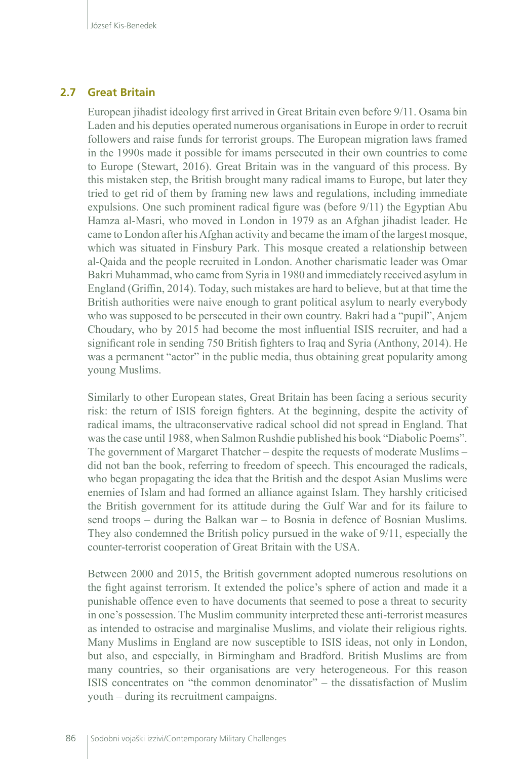#### **2.7 Great Britain**

European jihadist ideology first arrived in Great Britain even before 9/11. Osama bin Laden and his deputies operated numerous organisations in Europe in order to recruit followers and raise funds for terrorist groups. The European migration laws framed in the 1990s made it possible for imams persecuted in their own countries to come to Europe (Stewart, 2016). Great Britain was in the vanguard of this process. By this mistaken step, the British brought many radical imams to Europe, but later they tried to get rid of them by framing new laws and regulations, including immediate expulsions. One such prominent radical figure was (before 9/11) the Egyptian Abu Hamza al-Masri, who moved in London in 1979 as an Afghan jihadist leader. He came to London after his Afghan activity and became the imam of the largest mosque, which was situated in Finsbury Park. This mosque created a relationship between al-Qaida and the people recruited in London. Another charismatic leader was Omar Bakri Muhammad, who came from Syria in 1980 and immediately received asylum in England (Griffin, 2014). Today, such mistakes are hard to believe, but at that time the British authorities were naive enough to grant political asylum to nearly everybody who was supposed to be persecuted in their own country. Bakri had a "pupil", Anjem Choudary, who by 2015 had become the most influential ISIS recruiter, and had a significant role in sending 750 British fighters to Iraq and Syria (Anthony, 2014). He was a permanent "actor" in the public media, thus obtaining great popularity among young Muslims.

Similarly to other European states, Great Britain has been facing a serious security risk: the return of ISIS foreign fighters. At the beginning, despite the activity of radical imams, the ultraconservative radical school did not spread in England. That was the case until 1988, when Salmon Rushdie published his book "Diabolic Poems". The government of Margaret Thatcher – despite the requests of moderate Muslims – did not ban the book, referring to freedom of speech. This encouraged the radicals, who began propagating the idea that the British and the despot Asian Muslims were enemies of Islam and had formed an alliance against Islam. They harshly criticised the British government for its attitude during the Gulf War and for its failure to send troops – during the Balkan war – to Bosnia in defence of Bosnian Muslims. They also condemned the British policy pursued in the wake of 9/11, especially the counter-terrorist cooperation of Great Britain with the USA.

Between 2000 and 2015, the British government adopted numerous resolutions on the fight against terrorism. It extended the police's sphere of action and made it a punishable offence even to have documents that seemed to pose a threat to security in one's possession. The Muslim community interpreted these anti-terrorist measures as intended to ostracise and marginalise Muslims, and violate their religious rights. Many Muslims in England are now susceptible to ISIS ideas, not only in London, but also, and especially, in Birmingham and Bradford. British Muslims are from many countries, so their organisations are very heterogeneous. For this reason ISIS concentrates on "the common denominator" – the dissatisfaction of Muslim youth – during its recruitment campaigns.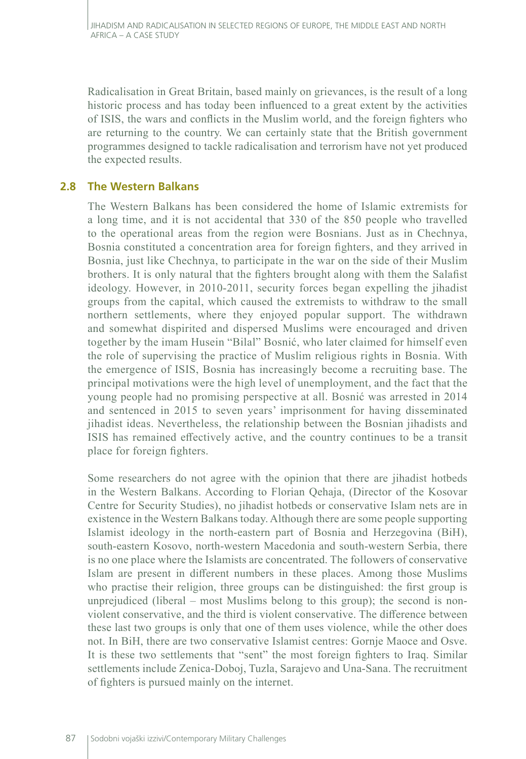Radicalisation in Great Britain, based mainly on grievances, is the result of a long historic process and has today been influenced to a great extent by the activities of ISIS, the wars and conflicts in the Muslim world, and the foreign fighters who are returning to the country. We can certainly state that the British government programmes designed to tackle radicalisation and terrorism have not yet produced the expected results.

## **2.8 The Western Balkans**

The Western Balkans has been considered the home of Islamic extremists for a long time, and it is not accidental that 330 of the 850 people who travelled to the operational areas from the region were Bosnians. Just as in Chechnya, Bosnia constituted a concentration area for foreign fighters, and they arrived in Bosnia, just like Chechnya, to participate in the war on the side of their Muslim brothers. It is only natural that the fighters brought along with them the Salafist ideology. However, in 2010-2011, security forces began expelling the jihadist groups from the capital, which caused the extremists to withdraw to the small northern settlements, where they enjoyed popular support. The withdrawn and somewhat dispirited and dispersed Muslims were encouraged and driven together by the imam Husein "Bilal" Bosnić, who later claimed for himself even the role of supervising the practice of Muslim religious rights in Bosnia. With the emergence of ISIS, Bosnia has increasingly become a recruiting base. The principal motivations were the high level of unemployment, and the fact that the young people had no promising perspective at all. Bosnić was arrested in 2014 and sentenced in 2015 to seven years' imprisonment for having disseminated jihadist ideas. Nevertheless, the relationship between the Bosnian jihadists and ISIS has remained effectively active, and the country continues to be a transit place for foreign fighters.

Some researchers do not agree with the opinion that there are jihadist hotbeds in the Western Balkans. According to Florian Qehaja, (Director of the Kosovar Centre for Security Studies), no jihadist hotbeds or conservative Islam nets are in existence in the Western Balkans today. Although there are some people supporting Islamist ideology in the north-eastern part of Bosnia and Herzegovina (BiH), south-eastern Kosovo, north-western Macedonia and south-western Serbia, there is no one place where the Islamists are concentrated. The followers of conservative Islam are present in different numbers in these places. Among those Muslims who practise their religion, three groups can be distinguished: the first group is unprejudiced (liberal – most Muslims belong to this group); the second is nonviolent conservative, and the third is violent conservative. The difference between these last two groups is only that one of them uses violence, while the other does not. In BiH, there are two conservative Islamist centres: Gornje Maoce and Osve. It is these two settlements that "sent" the most foreign fighters to Iraq. Similar settlements include Zenica-Doboj, Tuzla, Sarajevo and Una-Sana. The recruitment of fighters is pursued mainly on the internet.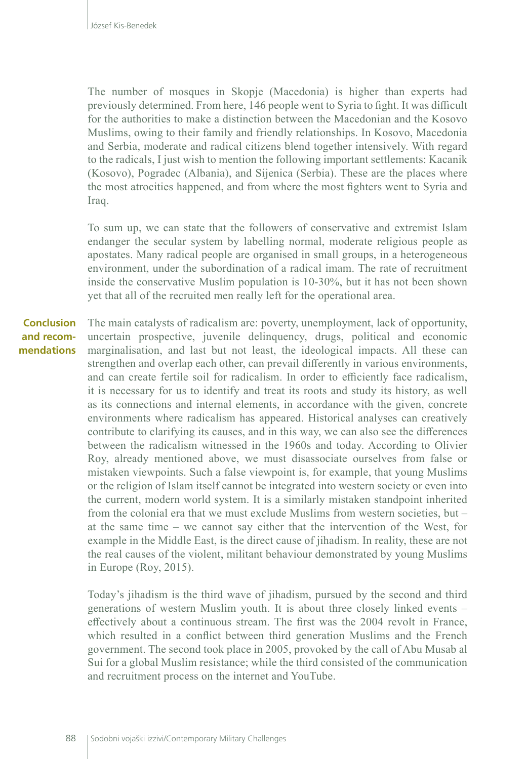The number of mosques in Skopje (Macedonia) is higher than experts had previously determined. From here, 146 people went to Syria to fight. It was difficult for the authorities to make a distinction between the Macedonian and the Kosovo Muslims, owing to their family and friendly relationships. In Kosovo, Macedonia and Serbia, moderate and radical citizens blend together intensively. With regard to the radicals, I just wish to mention the following important settlements: Kacanik (Kosovo), Pogradec (Albania), and Sijenica (Serbia). These are the places where the most atrocities happened, and from where the most fighters went to Syria and Iraq.

To sum up, we can state that the followers of conservative and extremist Islam endanger the secular system by labelling normal, moderate religious people as apostates. Many radical people are organised in small groups, in a heterogeneous environment, under the subordination of a radical imam. The rate of recruitment inside the conservative Muslim population is 10-30%, but it has not been shown yet that all of the recruited men really left for the operational area.

The main catalysts of radicalism are: poverty, unemployment, lack of opportunity, uncertain prospective, juvenile delinquency, drugs, political and economic marginalisation, and last but not least, the ideological impacts. All these can strengthen and overlap each other, can prevail differently in various environments, and can create fertile soil for radicalism. In order to efficiently face radicalism, it is necessary for us to identify and treat its roots and study its history, as well as its connections and internal elements, in accordance with the given, concrete environments where radicalism has appeared. Historical analyses can creatively contribute to clarifying its causes, and in this way, we can also see the differences between the radicalism witnessed in the 1960s and today. According to Olivier Roy, already mentioned above, we must disassociate ourselves from false or mistaken viewpoints. Such a false viewpoint is, for example, that young Muslims or the religion of Islam itself cannot be integrated into western society or even into the current, modern world system. It is a similarly mistaken standpoint inherited from the colonial era that we must exclude Muslims from western societies, but – at the same time – we cannot say either that the intervention of the West, for example in the Middle East, is the direct cause of jihadism. In reality, these are not the real causes of the violent, militant behaviour demonstrated by young Muslims in Europe (Roy, 2015). **Conclusion and recommendations**

> Today's jihadism is the third wave of jihadism, pursued by the second and third generations of western Muslim youth. It is about three closely linked events – effectively about a continuous stream. The first was the 2004 revolt in France, which resulted in a conflict between third generation Muslims and the French government. The second took place in 2005, provoked by the call of Abu Musab al Sui for a global Muslim resistance; while the third consisted of the communication and recruitment process on the internet and YouTube.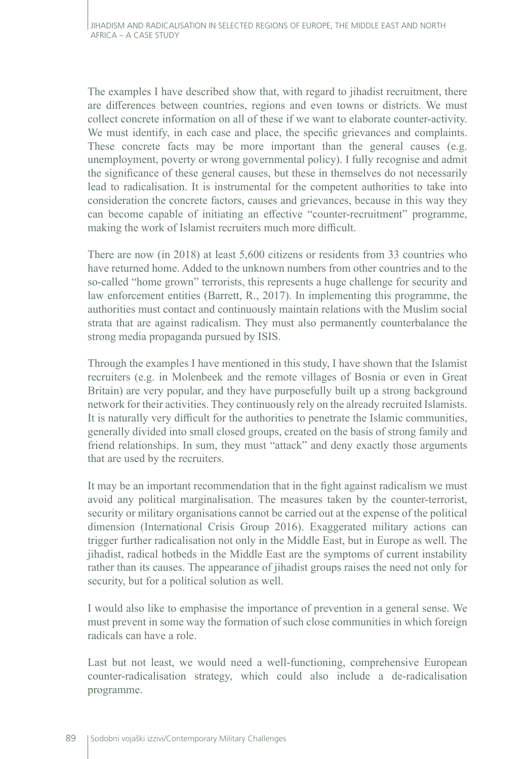The examples I have described show that, with regard to jihadist recruitment, there are differences between countries, regions and even towns or districts. We must collect concrete information on all of these if we want to elaborate counter-activity. We must identify, in each case and place, the specific grievances and complaints. These concrete facts may be more important than the general causes (e.g. unemployment, poverty or wrong governmental policy). I fully recognise and admit the significance of these general causes, but these in themselves do not necessarily lead to radicalisation. It is instrumental for the competent authorities to take into consideration the concrete factors, causes and grievances, because in this way they can become capable of initiating an effective "counter-recruitment" programme, making the work of Islamist recruiters much more difficult.

There are now (in 2018) at least 5,600 citizens or residents from 33 countries who have returned home. Added to the unknown numbers from other countries and to the so-called "home grown" terrorists, this represents a huge challenge for security and law enforcement entities (Barrett, R., 2017). In implementing this programme, the authorities must contact and continuously maintain relations with the Muslim social strata that are against radicalism. They must also permanently counterbalance the strong media propaganda pursued by ISIS.

Through the examples I have mentioned in this study, I have shown that the Islamist recruiters (e.g. in Molenbeek and the remote villages of Bosnia or even in Great Britain) are very popular, and they have purposefully built up a strong background network for their activities. They continuously rely on the already recruited Islamists. It is naturally very difficult for the authorities to penetrate the Islamic communities, generally divided into small closed groups, created on the basis of strong family and friend relationships. In sum, they must "attack" and deny exactly those arguments that are used by the recruiters.

It may be an important recommendation that in the fight against radicalism we must avoid any political marginalisation. The measures taken by the counter-terrorist, security or military organisations cannot be carried out at the expense of the political dimension (International Crisis Group 2016). Exaggerated military actions can trigger further radicalisation not only in the Middle East, but in Europe as well. The jihadist, radical hotbeds in the Middle East are the symptoms of current instability rather than its causes. The appearance of jihadist groups raises the need not only for security, but for a political solution as well.

I would also like to emphasise the importance of prevention in a general sense. We must prevent in some way the formation of such close communities in which foreign radicals can have a role.

Last but not least, we would need a well-functioning, comprehensive European counter-radicalisation strategy, which could also include a de-radicalisation programme.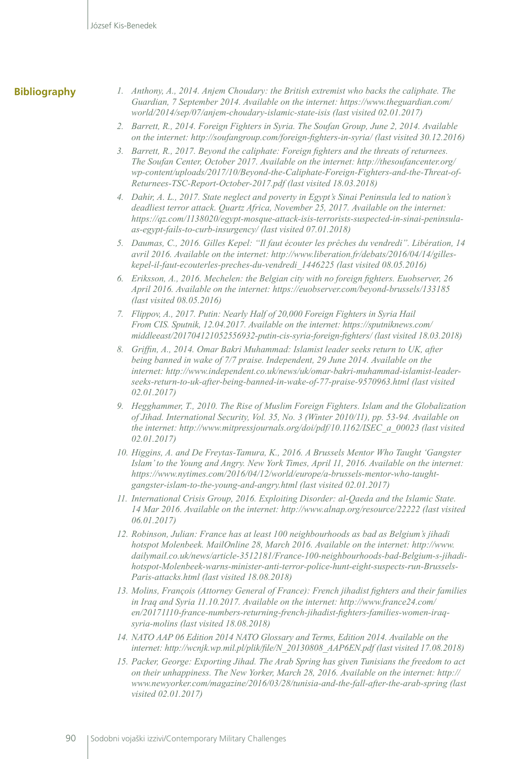#### **Bibliography**

- *1. Anthony, A., 2014. Anjem Choudary: the British extremist who backs the caliphate. The Guardian, 7 September 2014. Available on the internet: https://www.theguardian.com/ world/2014/sep/07/anjem-choudary-islamic-state-isis (last visited 02.01.2017)*
- *2. Barrett, R., 2014. Foreign Fighters in Syria. The Soufan Group, June 2, 2014. Available on the internet: http://soufangroup.com/foreign-fighters-in-syria/ (last visited 30.12.2016)*
- *3. Barrett, R., 2017. Beyond the caliphate: Foreign fighters and the threats of returnees. The Soufan Center, October 2017. Available on the internet: [http://thesoufancenter.org/](http://thesoufancenter.org/wp-content/uploads/2017/10/Beyond-the-Caliphate-Foreign-Fighters-and-the-Threat-of-Returnees-TSC-Report-October-2017.pdf) [wp-content/uploads/2017/10/Beyond-the-Caliphate-Foreign-Fighters-and-the-Threat-of-](http://thesoufancenter.org/wp-content/uploads/2017/10/Beyond-the-Caliphate-Foreign-Fighters-and-the-Threat-of-Returnees-TSC-Report-October-2017.pdf)[Returnees-TSC-Report-October-2017.pdf](http://thesoufancenter.org/wp-content/uploads/2017/10/Beyond-the-Caliphate-Foreign-Fighters-and-the-Threat-of-Returnees-TSC-Report-October-2017.pdf) (last visited 18.03.2018)*
- *4. Dahir, A. L., 2017. State neglect and poverty in Egypt's Sinai Peninsula led to nation's deadliest terror attack. Quartz Africa, November 25, 2017. Available on the internet: [https://qz.com/1138020/egypt-mosque-attack-isis-terrorists-suspected-in-sinai-peninsula](https://qz.com/1138020/egypt-mosque-attack-isis-terrorists-suspected-in-sinai-peninsula-as-egypt-fails-to-curb-insurgency/)[as-egypt-fails-to-curb-insurgency/](https://qz.com/1138020/egypt-mosque-attack-isis-terrorists-suspected-in-sinai-peninsula-as-egypt-fails-to-curb-insurgency/) (last visited 07.01.2018)*
- *5. Daumas, C., 2016. Gilles Kepel: "Il faut écouter les prêches du vendredi". Libération, 14 avril 2016. Available on the internet: http://www.liberation.fr/debats/2016/04/14/gilleskepel-il-faut-ecouterles-preches-du-vendredi\_1446225 (last visited 08.05.2016)*
- *6. Eriksson, A., 2016. Mechelen: the Belgian city with no foreign fighters. Euobserver, 26 April 2016. Available on the internet: https://euobserver.com/beyond-brussels/133185 (last visited 08.05.2016)*
- *7. Flippov, A., 2017. Putin: Nearly Half of 20,000 Foreign Fighters in Syria Hail From CIS. Sputnik, 12.04.2017. Available on the internet: [https://sputniknews.com/](https://sputniknews.com/middleeast/201704121052556932-putin-cis-syria-foreign-fighters/) [middleeast/201704121052556932-putin-cis-syria-foreign-fighters/](https://sputniknews.com/middleeast/201704121052556932-putin-cis-syria-foreign-fighters/) (last visited 18.03.2018)*
- *8. Griffin, A., 2014. Omar Bakri Muhammad: Islamist leader seeks return to UK, after being banned in wake of 7/7 praise. Independent, 29 June 2014. Available on the internet: http://www.independent.co.uk/news/uk/omar-bakri-muhammad-islamist-leaderseeks-return-to-uk-after-being-banned-in-wake-of-77-praise-9570963.html (last visited 02.01.2017)*
- *9. Hegghammer, T., 2010. The Rise of Muslim Foreign Fighters. Islam and the Globalization of Jihad. International Security, Vol. 35, No. 3 (Winter 2010/11), pp. 53-94. Available on the internet: http://www.mitpressjournals.org/doi/pdf/10.1162/ISEC\_a\_00023 (last visited 02.01.2017)*
- *10. Higgins, A. and De Freytas-Tamura, K., 2016. A Brussels Mentor Who Taught 'Gangster Islam' to the Young and Angry. New York Times, April 11, 2016. Available on the internet: https://www.nytimes.com/2016/04/12/world/europe/a-brussels-mentor-who-taughtgangster-islam-to-the-young-and-angry.html (last visited 02.01.2017)*
- *11. International Crisis Group, 2016. Exploiting Disorder: al-Qaeda and the Islamic State. 14 Mar 2016. Available on the internet: http://www.alnap.org/resource/22222 (last visited 06.01.2017)*
- *12. Robinson, Julian: France has at least 100 neighbourhoods as bad as Belgium's jihadi hotspot Molenbeek. MailOnline 28, March 2016. Available on the internet: [http://www.](http://www.dailymail.co.uk/news/article-3512181/France-100-neighbourhoods-bad-Belgium-s-jihadi-hotspot-Molenbeek-warns-minister-anti-terror-police-hunt-eight-suspects-run-Brussels-Paris-attacks.html) [dailymail.co.uk/news/article-3512181/France-100-neighbourhoods-bad-Belgium-s-jihadi](http://www.dailymail.co.uk/news/article-3512181/France-100-neighbourhoods-bad-Belgium-s-jihadi-hotspot-Molenbeek-warns-minister-anti-terror-police-hunt-eight-suspects-run-Brussels-Paris-attacks.html)[hotspot-Molenbeek-warns-minister-anti-terror-police-hunt-eight-suspects-run-Brussels-](http://www.dailymail.co.uk/news/article-3512181/France-100-neighbourhoods-bad-Belgium-s-jihadi-hotspot-Molenbeek-warns-minister-anti-terror-police-hunt-eight-suspects-run-Brussels-Paris-attacks.html)[Paris-attacks.html](http://www.dailymail.co.uk/news/article-3512181/France-100-neighbourhoods-bad-Belgium-s-jihadi-hotspot-Molenbeek-warns-minister-anti-terror-police-hunt-eight-suspects-run-Brussels-Paris-attacks.html) (last visited 18.08.2018)*
- *13. Molins, François (Attorney General of France): French jihadist fighters and their families in Iraq and Syria 11.10.2017. Available on the internet: [http://www.france24.com/](http://www.france24.com/en/20171110-france-numbers-returning-french-jihadist-fighters-families-women-iraq-syria-molins) [en/20171110-france-numbers-returning-french-jihadist-fighters-families-women-iraq](http://www.france24.com/en/20171110-france-numbers-returning-french-jihadist-fighters-families-women-iraq-syria-molins)[syria-molins](http://www.france24.com/en/20171110-france-numbers-returning-french-jihadist-fighters-families-women-iraq-syria-molins) (last visited 18.08.2018)*
- *14. NATO AAP 06 Edition 2014 NATO Glossary and Terms, Edition 2014. Available on the internet: [http://wcnjk.wp.mil.pl/plik/file/N\\_20130808\\_AAP6EN.pdf](http://wcnjk.wp.mil.pl/plik/file/N_20130808_AAP6EN.pdf) (last visited 17.08.2018)*
- *15. Packer, George: Exporting Jihad. The Arab Spring has given Tunisians the freedom to act on their unhappiness. The New Yorker, March 28, 2016. Available on the internet: http:// www.newyorker.com/magazine/2016/03/28/tunisia-and-the-fall-after-the-arab-spring (last visited 02.01.2017)*